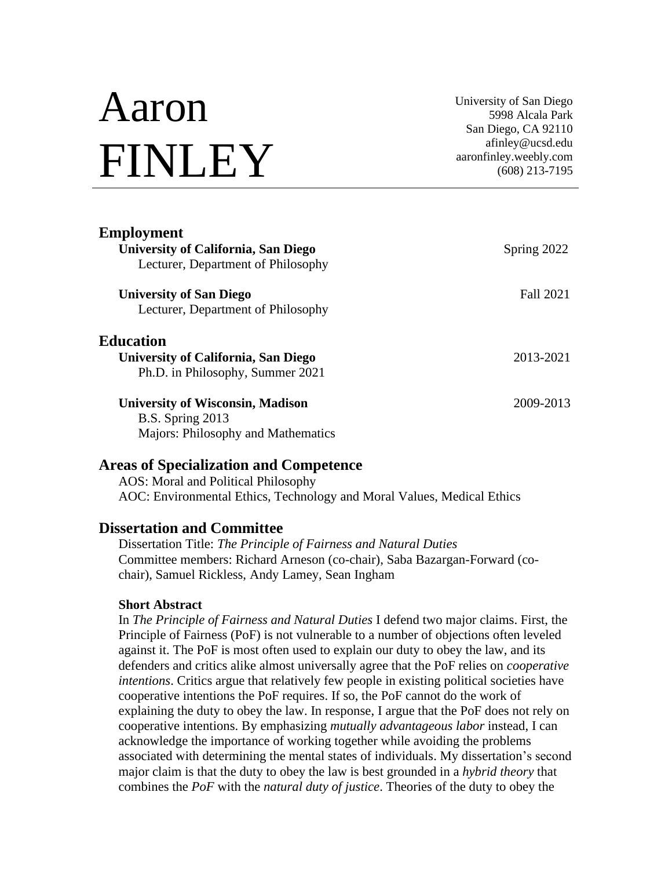# Aaron FINLEY

University of San Diego 5998 Alcala Park San Diego, CA 92110 afinley@ucsd.edu aaronfinley.weebly.com (608) 213-7195

| <b>Employment</b><br>University of California, San Diego<br>Lecturer, Department of Philosophy           | Spring 2022      |
|----------------------------------------------------------------------------------------------------------|------------------|
| <b>University of San Diego</b><br>Lecturer, Department of Philosophy                                     | <b>Fall 2021</b> |
| <b>Education</b><br>University of California, San Diego<br>Ph.D. in Philosophy, Summer 2021              | 2013-2021        |
| <b>University of Wisconsin, Madison</b><br><b>B.S.</b> Spring 2013<br>Majors: Philosophy and Mathematics | 2009-2013        |

#### **Areas of Specialization and Competence**

AOS: Moral and Political Philosophy AOC: Environmental Ethics, Technology and Moral Values, Medical Ethics

#### **Dissertation and Committee**

Dissertation Title: *The Principle of Fairness and Natural Duties* Committee members: Richard Arneson (co-chair), Saba Bazargan-Forward (cochair), Samuel Rickless, Andy Lamey, Sean Ingham

#### **Short Abstract**

In *The Principle of Fairness and Natural Duties* I defend two major claims. First, the Principle of Fairness (PoF) is not vulnerable to a number of objections often leveled against it. The PoF is most often used to explain our duty to obey the law, and its defenders and critics alike almost universally agree that the PoF relies on *cooperative intentions*. Critics argue that relatively few people in existing political societies have cooperative intentions the PoF requires. If so, the PoF cannot do the work of explaining the duty to obey the law. In response, I argue that the PoF does not rely on cooperative intentions. By emphasizing *mutually advantageous labor* instead, I can acknowledge the importance of working together while avoiding the problems associated with determining the mental states of individuals. My dissertation's second major claim is that the duty to obey the law is best grounded in a *hybrid theory* that combines the *PoF* with the *natural duty of justice*. Theories of the duty to obey the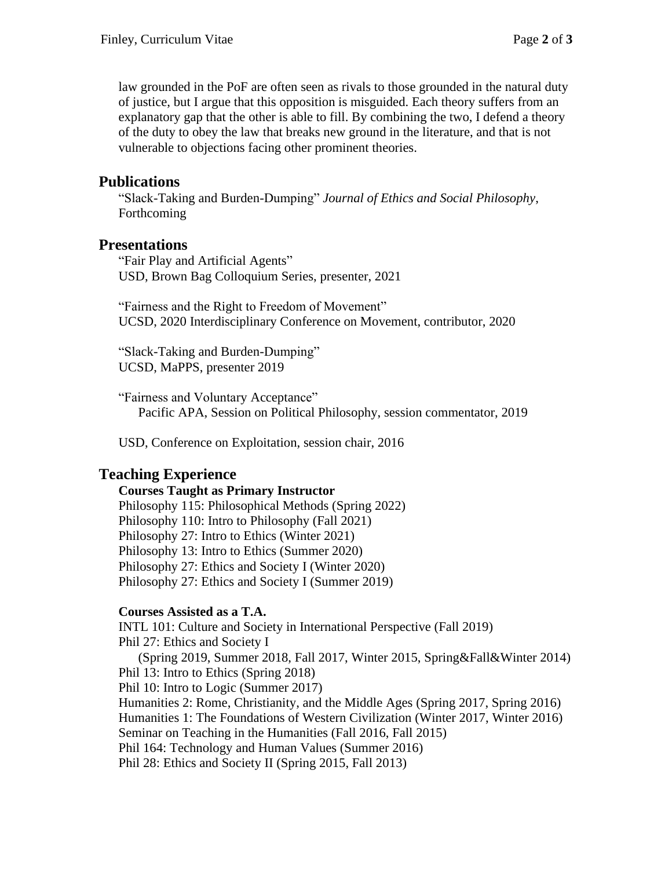law grounded in the PoF are often seen as rivals to those grounded in the natural duty of justice, but I argue that this opposition is misguided. Each theory suffers from an explanatory gap that the other is able to fill. By combining the two, I defend a theory of the duty to obey the law that breaks new ground in the literature, and that is not vulnerable to objections facing other prominent theories.

#### **Publications**

"Slack-Taking and Burden-Dumping" *Journal of Ethics and Social Philosophy*, Forthcoming

#### **Presentations**

"Fair Play and Artificial Agents" USD, Brown Bag Colloquium Series, presenter, 2021

"Fairness and the Right to Freedom of Movement" UCSD, 2020 Interdisciplinary Conference on Movement, contributor, 2020

"Slack-Taking and Burden-Dumping" UCSD, MaPPS, presenter 2019

"Fairness and Voluntary Acceptance" Pacific APA, Session on Political Philosophy, session commentator, 2019

USD, Conference on Exploitation, session chair, 2016

### **Teaching Experience**

#### **Courses Taught as Primary Instructor**

Philosophy 115: Philosophical Methods (Spring 2022) Philosophy 110: Intro to Philosophy (Fall 2021) Philosophy 27: Intro to Ethics (Winter 2021) Philosophy 13: Intro to Ethics (Summer 2020) Philosophy 27: Ethics and Society I (Winter 2020) Philosophy 27: Ethics and Society I (Summer 2019)

#### **Courses Assisted as a T.A.**

INTL 101: Culture and Society in International Perspective (Fall 2019) Phil 27: Ethics and Society I (Spring 2019, Summer 2018, Fall 2017, Winter 2015, Spring&Fall&Winter 2014) Phil 13: Intro to Ethics (Spring 2018) Phil 10: Intro to Logic (Summer 2017) Humanities 2: Rome, Christianity, and the Middle Ages (Spring 2017, Spring 2016) Humanities 1: The Foundations of Western Civilization (Winter 2017, Winter 2016) Seminar on Teaching in the Humanities (Fall 2016, Fall 2015) Phil 164: Technology and Human Values (Summer 2016) Phil 28: Ethics and Society II (Spring 2015, Fall 2013)